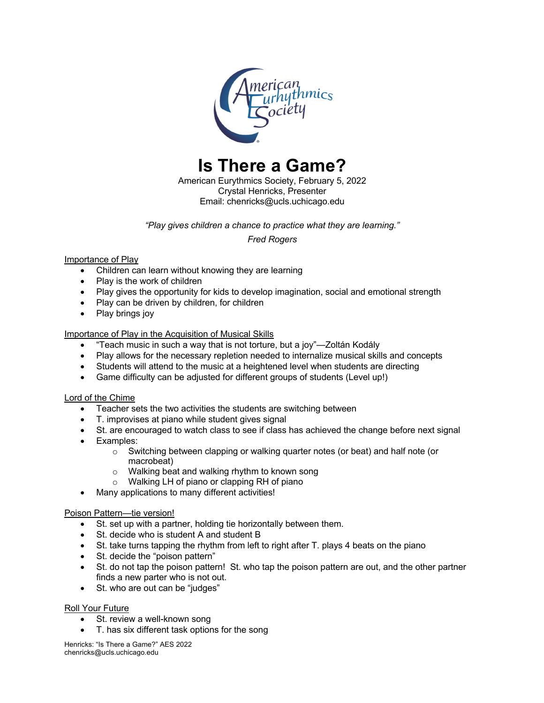

**Is There a Game?**

American Eurythmics Society, February 5, 2022 Crystal Henricks, Presenter Email: chenricks@ucls.uchicago.edu

*"Play gives children a chance to practice what they are learning."*

*Fred Rogers*

## Importance of Play

- Children can learn without knowing they are learning
- Play is the work of children
- Play gives the opportunity for kids to develop imagination, social and emotional strength
- Play can be driven by children, for children
- Play brings joy

## Importance of Play in the Acquisition of Musical Skills

- "Teach music in such a way that is not torture, but a joy"—Zoltán Kodály
- Play allows for the necessary repletion needed to internalize musical skills and concepts
- Students will attend to the music at a heightened level when students are directing
- Game difficulty can be adjusted for different groups of students (Level up!)

## Lord of the Chime

- Teacher sets the two activities the students are switching between
- T. improvises at piano while student gives signal
- St. are encouraged to watch class to see if class has achieved the change before next signal
- Examples:
	- o Switching between clapping or walking quarter notes (or beat) and half note (or macrobeat)
	- o Walking beat and walking rhythm to known song
	- o Walking LH of piano or clapping RH of piano
	- Many applications to many different activities!

#### Poison Pattern—tie version!

- St. set up with a partner, holding tie horizontally between them.
- St. decide who is student A and student B
- St. take turns tapping the rhythm from left to right after T. plays 4 beats on the piano
- St. decide the "poison pattern"
- St. do not tap the poison pattern! St. who tap the poison pattern are out, and the other partner finds a new parter who is not out.
- St. who are out can be "judges"

#### Roll Your Future

- St. review a well-known song
- T. has six different task options for the song

Henricks: "Is There a Game?" AES 2022 chenricks@ucls.uchicago.edu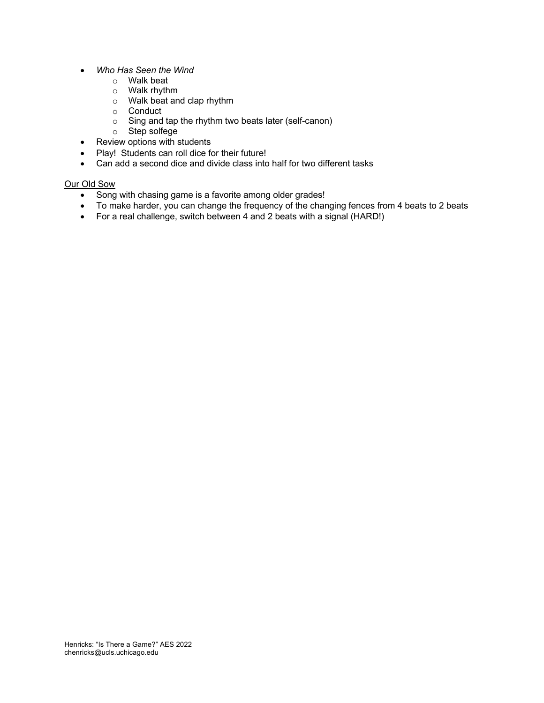- *Who Has Seen the Wind*
	- o Walk beat
	- o Walk rhythm
	- o Walk beat and clap rhythm
	- o Conduct
	- o Sing and tap the rhythm two beats later (self-canon)
	- o Step solfege
- Review options with students
- Play! Students can roll dice for their future!
- Can add a second dice and divide class into half for two different tasks

## Our Old Sow

- Song with chasing game is a favorite among older grades!
- To make harder, you can change the frequency of the changing fences from 4 beats to 2 beats
- For a real challenge, switch between 4 and 2 beats with a signal (HARD!)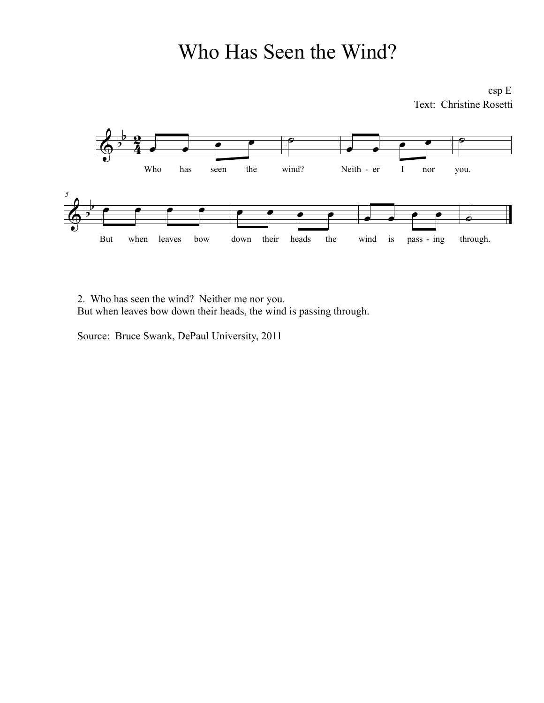# Who Has Seen the Wind?

csp E Text: Christine Rosetti



2. Who has seen the wind? Neither me nor you. But when leaves bow down their heads, the wind is passing through.

Source: Bruce Swank, DePaul University, 2011